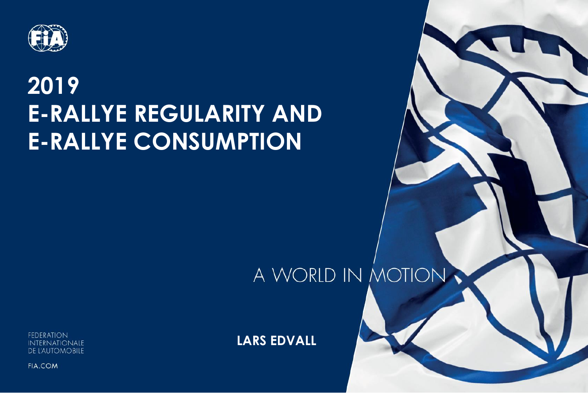

#### **2019 E-RALLYE REGULARITY AND E-RALLYE CONSUMPTION**

#### A WORLD IN MOTION

 $\overline{\phantom{a}}$ 

**FEDERATION INTERNATIONALE DE L'AUTOMOBILE** 

**LARS EDVALL**

**FIA.COM**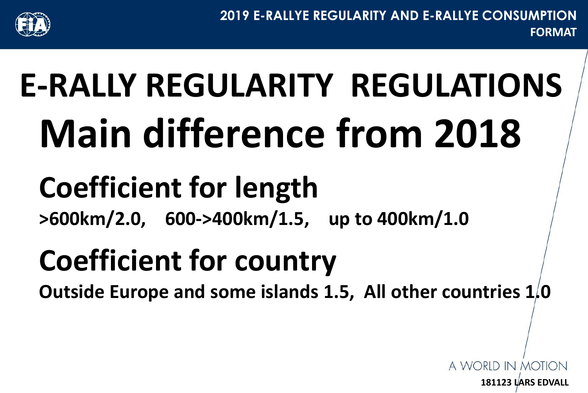

**181123 LARS EDVALL**

A WORID IN MOTIO

# **E-RALLY REGULARITY REGULATIONS Main difference from 2018**

### **Coefficient for length**

**>600km/2.0, 600->400km/1.5, up to 400km/1.0**

### **Coefficient for country**

**Outside Europe and some islands 1.5, All other countries 1.0**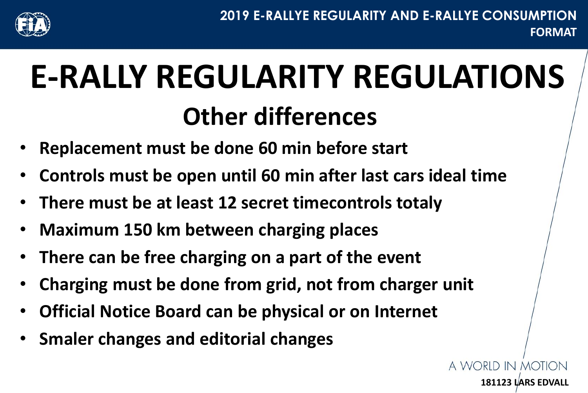

**181123 LARS EDVALL**

A WORID IN MOTI

## **E-RALLY REGULARITY REGULATIONS Other differences**

- **Replacement must be done 60 min before start**
- **Controls must be open until 60 min after last cars ideal time**
- **There must be at least 12 secret timecontrols totaly**
- **Maximum 150 km between charging places**
- **There can be free charging on a part of the event**
- **Charging must be done from grid, not from charger unit**
- **Official Notice Board can be physical or on Internet**
- **Smaler changes and editorial changes**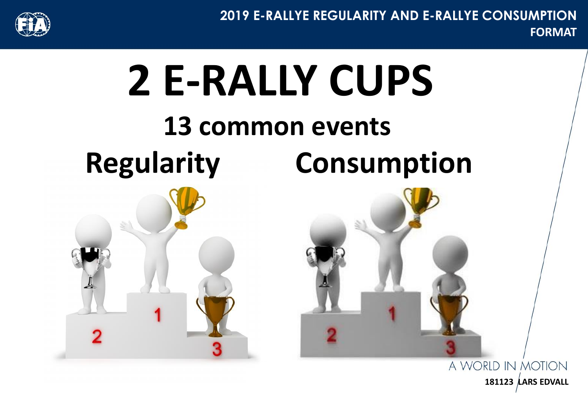

**FORMAT 2019 E-RALLYE REGULARITY AND E-RALLYE CONSUMPTION**



A WORLD IN MOTION **181123 LARS EDVALL**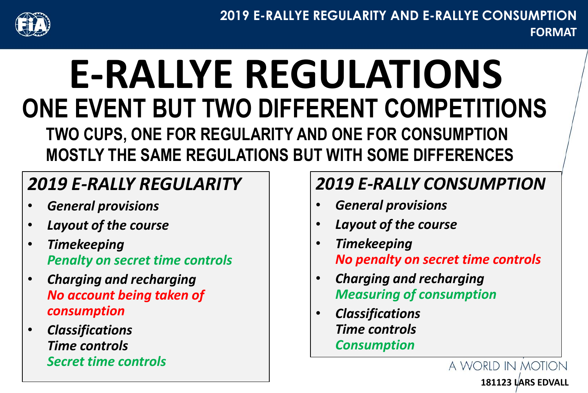

### **E-RALLYE REGULATIONS ONE EVENT BUT TWO DIFFERENT COMPETITIONS TWO CUPS, ONE FOR REGULARITY AND ONE FOR CONSUMPTION MOSTLY THE SAME REGULATIONS BUT WITH SOME DIFFERENCES**

#### *2019 E-RALLY REGULARITY*

- *General provisions*
- *Layout of the course*
- *Timekeeping Penalty on secret time controls*
- *Charging and recharging No account being taken of consumption*
- *Classifications Time controls Secret time controls*

#### *2019 E-RALLY CONSUMPTION*

- *General provisions*
- *Layout of the course*
- *Timekeeping No penalty on secret time controls*

**181123 LARS EDVALL**

A WORLD IN MOTION

- *Charging and recharging Measuring of consumption*
- *Classifications Time controls Consumption*